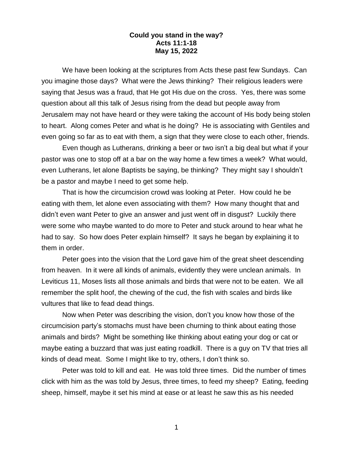## **Could you stand in the way? Acts 11:1-18 May 15, 2022**

We have been looking at the scriptures from Acts these past few Sundays. Can you imagine those days? What were the Jews thinking? Their religious leaders were saying that Jesus was a fraud, that He got His due on the cross. Yes, there was some question about all this talk of Jesus rising from the dead but people away from Jerusalem may not have heard or they were taking the account of His body being stolen to heart. Along comes Peter and what is he doing? He is associating with Gentiles and even going so far as to eat with them, a sign that they were close to each other, friends.

Even though as Lutherans, drinking a beer or two isn't a big deal but what if your pastor was one to stop off at a bar on the way home a few times a week? What would, even Lutherans, let alone Baptists be saying, be thinking? They might say I shouldn't be a pastor and maybe I need to get some help.

That is how the circumcision crowd was looking at Peter. How could he be eating with them, let alone even associating with them? How many thought that and didn't even want Peter to give an answer and just went off in disgust? Luckily there were some who maybe wanted to do more to Peter and stuck around to hear what he had to say. So how does Peter explain himself? It says he began by explaining it to them in order.

Peter goes into the vision that the Lord gave him of the great sheet descending from heaven. In it were all kinds of animals, evidently they were unclean animals. In Leviticus 11, Moses lists all those animals and birds that were not to be eaten. We all remember the split hoof, the chewing of the cud, the fish with scales and birds like vultures that like to fead dead things.

Now when Peter was describing the vision, don't you know how those of the circumcision party's stomachs must have been churning to think about eating those animals and birds? Might be something like thinking about eating your dog or cat or maybe eating a buzzard that was just eating roadkill. There is a guy on TV that tries all kinds of dead meat. Some I might like to try, others, I don't think so.

Peter was told to kill and eat. He was told three times. Did the number of times click with him as the was told by Jesus, three times, to feed my sheep? Eating, feeding sheep, himself, maybe it set his mind at ease or at least he saw this as his needed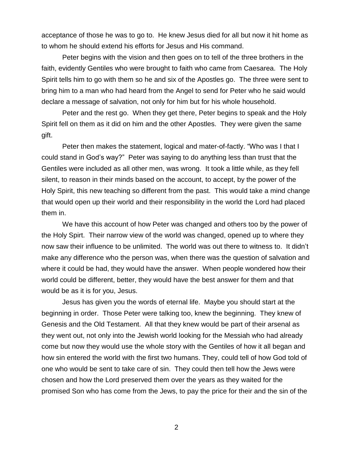acceptance of those he was to go to. He knew Jesus died for all but now it hit home as to whom he should extend his efforts for Jesus and His command.

Peter begins with the vision and then goes on to tell of the three brothers in the faith, evidently Gentiles who were brought to faith who came from Caesarea. The Holy Spirit tells him to go with them so he and six of the Apostles go. The three were sent to bring him to a man who had heard from the Angel to send for Peter who he said would declare a message of salvation, not only for him but for his whole household.

Peter and the rest go. When they get there, Peter begins to speak and the Holy Spirit fell on them as it did on him and the other Apostles. They were given the same gift.

Peter then makes the statement, logical and mater-of-factly. "Who was I that I could stand in God's way?" Peter was saying to do anything less than trust that the Gentiles were included as all other men, was wrong. It took a little while, as they fell silent, to reason in their minds based on the account, to accept, by the power of the Holy Spirit, this new teaching so different from the past. This would take a mind change that would open up their world and their responsibility in the world the Lord had placed them in.

We have this account of how Peter was changed and others too by the power of the Holy Spirt. Their narrow view of the world was changed, opened up to where they now saw their influence to be unlimited. The world was out there to witness to. It didn't make any difference who the person was, when there was the question of salvation and where it could be had, they would have the answer. When people wondered how their world could be different, better, they would have the best answer for them and that would be as it is for you, Jesus.

Jesus has given you the words of eternal life. Maybe you should start at the beginning in order. Those Peter were talking too, knew the beginning. They knew of Genesis and the Old Testament. All that they knew would be part of their arsenal as they went out, not only into the Jewish world looking for the Messiah who had already come but now they would use the whole story with the Gentiles of how it all began and how sin entered the world with the first two humans. They, could tell of how God told of one who would be sent to take care of sin. They could then tell how the Jews were chosen and how the Lord preserved them over the years as they waited for the promised Son who has come from the Jews, to pay the price for their and the sin of the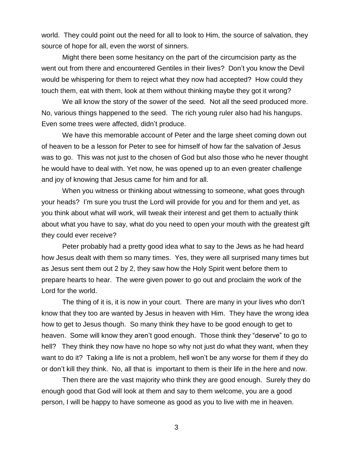world. They could point out the need for all to look to Him, the source of salvation, they source of hope for all, even the worst of sinners.

Might there been some hesitancy on the part of the circumcision party as the went out from there and encountered Gentiles in their lives? Don't you know the Devil would be whispering for them to reject what they now had accepted? How could they touch them, eat with them, look at them without thinking maybe they got it wrong?

We all know the story of the sower of the seed. Not all the seed produced more. No, various things happened to the seed. The rich young ruler also had his hangups. Even some trees were affected, didn't produce.

We have this memorable account of Peter and the large sheet coming down out of heaven to be a lesson for Peter to see for himself of how far the salvation of Jesus was to go. This was not just to the chosen of God but also those who he never thought he would have to deal with. Yet now, he was opened up to an even greater challenge and joy of knowing that Jesus came for him and for all.

When you witness or thinking about witnessing to someone, what goes through your heads? I'm sure you trust the Lord will provide for you and for them and yet, as you think about what will work, will tweak their interest and get them to actually think about what you have to say, what do you need to open your mouth with the greatest gift they could ever receive?

Peter probably had a pretty good idea what to say to the Jews as he had heard how Jesus dealt with them so many times. Yes, they were all surprised many times but as Jesus sent them out 2 by 2, they saw how the Holy Spirit went before them to prepare hearts to hear. The were given power to go out and proclaim the work of the Lord for the world.

The thing of it is, it is now in your court. There are many in your lives who don't know that they too are wanted by Jesus in heaven with Him. They have the wrong idea how to get to Jesus though. So many think they have to be good enough to get to heaven. Some will know they aren't good enough. Those think they "deserve" to go to hell? They think they now have no hope so why not just do what they want, when they want to do it? Taking a life is not a problem, hell won't be any worse for them if they do or don't kill they think. No, all that is important to them is their life in the here and now.

Then there are the vast majority who think they are good enough. Surely they do enough good that God will look at them and say to them welcome, you are a good person, I will be happy to have someone as good as you to live with me in heaven.